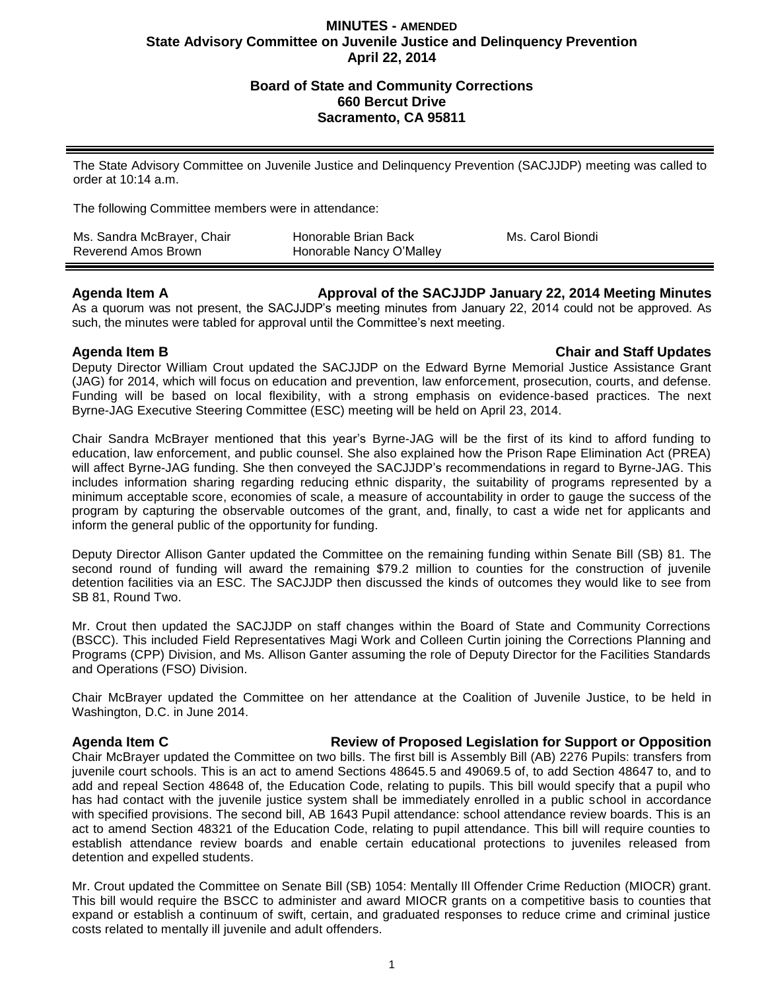# **MINUTES - AMENDED State Advisory Committee on Juvenile Justice and Delinquency Prevention April 22, 2014**

# **Board of State and Community Corrections 660 Bercut Drive Sacramento, CA 95811**

The State Advisory Committee on Juvenile Justice and Delinquency Prevention (SACJJDP) meeting was called to order at 10:14 a.m.

The following Committee members were in attendance:

| Ms. Sandra McBrayer, Chair | Honorable Brian Back     | Ms. Carol Biondi |
|----------------------------|--------------------------|------------------|
| Reverend Amos Brown        | Honorable Nancy O'Malley |                  |

## **Agenda Item A Approval of the SACJJDP January 22, 2014 Meeting Minutes**

As a quorum was not present, the SACJJDP's meeting minutes from January 22, 2014 could not be approved. As such, the minutes were tabled for approval until the Committee's next meeting.

## **Agenda Item B Chair and Staff Updates**

Deputy Director William Crout updated the SACJJDP on the Edward Byrne Memorial Justice Assistance Grant (JAG) for 2014, which will focus on education and prevention, law enforcement, prosecution, courts, and defense. Funding will be based on local flexibility, with a strong emphasis on evidence-based practices. The next Byrne-JAG Executive Steering Committee (ESC) meeting will be held on April 23, 2014.

Chair Sandra McBrayer mentioned that this year's Byrne-JAG will be the first of its kind to afford funding to education, law enforcement, and public counsel. She also explained how the Prison Rape Elimination Act (PREA) will affect Byrne-JAG funding. She then conveyed the SACJJDP's recommendations in regard to Byrne-JAG. This includes information sharing regarding reducing ethnic disparity, the suitability of programs represented by a minimum acceptable score, economies of scale, a measure of accountability in order to gauge the success of the program by capturing the observable outcomes of the grant, and, finally, to cast a wide net for applicants and inform the general public of the opportunity for funding.

Deputy Director Allison Ganter updated the Committee on the remaining funding within Senate Bill (SB) 81. The second round of funding will award the remaining \$79.2 million to counties for the construction of juvenile detention facilities via an ESC. The SACJJDP then discussed the kinds of outcomes they would like to see from SB 81, Round Two.

Mr. Crout then updated the SACJJDP on staff changes within the Board of State and Community Corrections (BSCC). This included Field Representatives Magi Work and Colleen Curtin joining the Corrections Planning and Programs (CPP) Division, and Ms. Allison Ganter assuming the role of Deputy Director for the Facilities Standards and Operations (FSO) Division.

Chair McBrayer updated the Committee on her attendance at the Coalition of Juvenile Justice, to be held in Washington, D.C. in June 2014.

## **Agenda Item C Review of Proposed Legislation for Support or Opposition**

Chair McBrayer updated the Committee on two bills. The first bill is Assembly Bill (AB) 2276 Pupils: transfers from juvenile court schools. This is an act to amend Sections 48645.5 and 49069.5 of, to add Section 48647 to, and to add and repeal Section 48648 of, the Education Code, relating to pupils. This bill would specify that a pupil who has had contact with the juvenile justice system shall be immediately enrolled in a public school in accordance with specified provisions. The second bill, AB 1643 Pupil attendance: school attendance review boards. This is an act to amend Section 48321 of the Education Code, relating to pupil attendance. This bill will require counties to establish attendance review boards and enable certain educational protections to juveniles released from detention and expelled students.

Mr. Crout updated the Committee on Senate Bill (SB) 1054: Mentally Ill Offender Crime Reduction (MIOCR) grant. This bill would require the BSCC to administer and award MIOCR grants on a competitive basis to counties that expand or establish a continuum of swift, certain, and graduated responses to reduce crime and criminal justice costs related to mentally ill juvenile and adult offenders.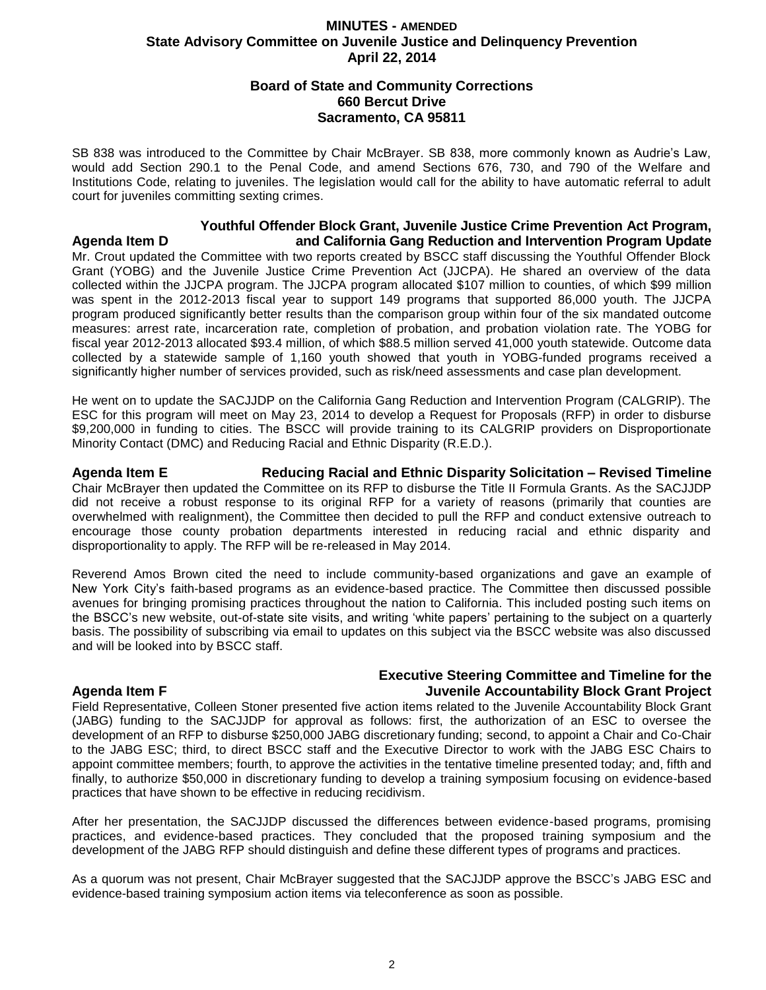# **MINUTES - AMENDED State Advisory Committee on Juvenile Justice and Delinquency Prevention April 22, 2014**

# **Board of State and Community Corrections 660 Bercut Drive Sacramento, CA 95811**

SB 838 was introduced to the Committee by Chair McBrayer. SB 838, more commonly known as Audrie's Law, would add Section 290.1 to the Penal Code, and amend Sections 676, 730, and 790 of the Welfare and Institutions Code, relating to juveniles. The legislation would call for the ability to have automatic referral to adult court for juveniles committing sexting crimes.

## **Youthful Offender Block Grant, Juvenile Justice Crime Prevention Act Program, Agenda Item D and California Gang Reduction and Intervention Program Update**

Mr. Crout updated the Committee with two reports created by BSCC staff discussing the Youthful Offender Block Grant (YOBG) and the Juvenile Justice Crime Prevention Act (JJCPA). He shared an overview of the data collected within the JJCPA program. The JJCPA program allocated \$107 million to counties, of which \$99 million was spent in the 2012-2013 fiscal year to support 149 programs that supported 86,000 youth. The JJCPA program produced significantly better results than the comparison group within four of the six mandated outcome measures: arrest rate, incarceration rate, completion of probation, and probation violation rate. The YOBG for fiscal year 2012-2013 allocated \$93.4 million, of which \$88.5 million served 41,000 youth statewide. Outcome data collected by a statewide sample of 1,160 youth showed that youth in YOBG-funded programs received a significantly higher number of services provided, such as risk/need assessments and case plan development.

He went on to update the SACJJDP on the California Gang Reduction and Intervention Program (CALGRIP). The ESC for this program will meet on May 23, 2014 to develop a Request for Proposals (RFP) in order to disburse \$9,200,000 in funding to cities. The BSCC will provide training to its CALGRIP providers on Disproportionate Minority Contact (DMC) and Reducing Racial and Ethnic Disparity (R.E.D.).

**Agenda Item E Reducing Racial and Ethnic Disparity Solicitation – Revised Timeline** Chair McBrayer then updated the Committee on its RFP to disburse the Title II Formula Grants. As the SACJJDP did not receive a robust response to its original RFP for a variety of reasons (primarily that counties are overwhelmed with realignment), the Committee then decided to pull the RFP and conduct extensive outreach to encourage those county probation departments interested in reducing racial and ethnic disparity and disproportionality to apply. The RFP will be re-released in May 2014.

Reverend Amos Brown cited the need to include community-based organizations and gave an example of New York City's faith-based programs as an evidence-based practice. The Committee then discussed possible avenues for bringing promising practices throughout the nation to California. This included posting such items on the BSCC's new website, out-of-state site visits, and writing 'white papers' pertaining to the subject on a quarterly basis. The possibility of subscribing via email to updates on this subject via the BSCC website was also discussed and will be looked into by BSCC staff.

# **Executive Steering Committee and Timeline for the Agenda Item F Juvenile Accountability Block Grant Project**

Field Representative, Colleen Stoner presented five action items related to the Juvenile Accountability Block Grant (JABG) funding to the SACJJDP for approval as follows: first, the authorization of an ESC to oversee the development of an RFP to disburse \$250,000 JABG discretionary funding; second, to appoint a Chair and Co-Chair to the JABG ESC; third, to direct BSCC staff and the Executive Director to work with the JABG ESC Chairs to appoint committee members; fourth, to approve the activities in the tentative timeline presented today; and, fifth and finally, to authorize \$50,000 in discretionary funding to develop a training symposium focusing on evidence-based practices that have shown to be effective in reducing recidivism.

After her presentation, the SACJJDP discussed the differences between evidence-based programs, promising practices, and evidence-based practices. They concluded that the proposed training symposium and the development of the JABG RFP should distinguish and define these different types of programs and practices.

As a quorum was not present, Chair McBrayer suggested that the SACJJDP approve the BSCC's JABG ESC and evidence-based training symposium action items via teleconference as soon as possible.